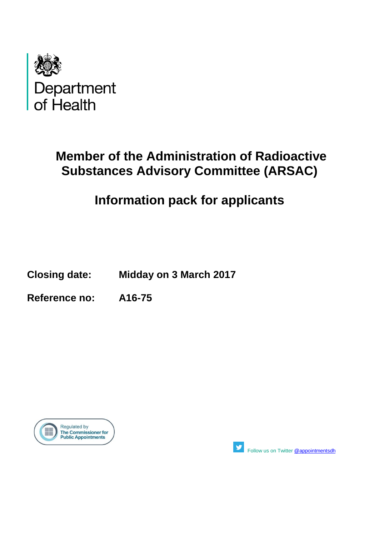

# **Member of the Administration of Radioactive Substances Advisory Committee (ARSAC)**

# **Information pack for applicants**

**Closing date: Midday on 3 March 2017**

**Reference no: A16-75**





Followus on Twitter [@appointmentsdh](https://twitter.com/search?q=%40appointmentsdh&src=typd)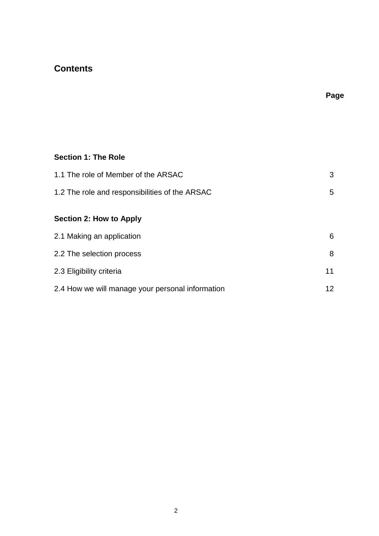# **Contents**

**Page**

# **Section 1: The Role**

| 1.1 The role of Member of the ARSAC              | 3               |
|--------------------------------------------------|-----------------|
| 1.2 The role and responsibilities of the ARSAC   | 5               |
| Section 2: How to Apply                          |                 |
| 2.1 Making an application                        | 6               |
| 2.2 The selection process                        | 8               |
| 2.3 Eligibility criteria                         | 11              |
| 2.4 How we will manage your personal information | 12 <sup>2</sup> |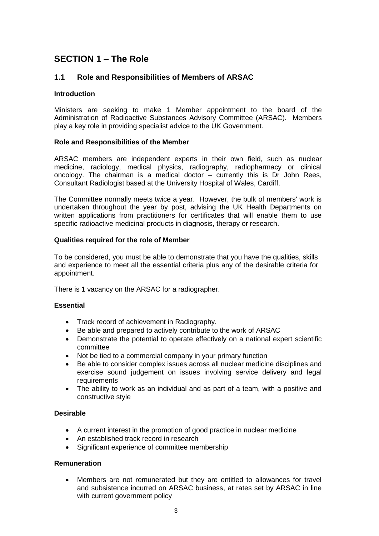# **SECTION 1 – The Role**

## **1.1 Role and Responsibilities of Members of ARSAC**

### **Introduction**

Ministers are seeking to make 1 Member appointment to the board of the Administration of Radioactive Substances Advisory Committee (ARSAC). Members play a key role in providing specialist advice to the UK Government.

### **Role and Responsibilities of the Member**

ARSAC members are independent experts in their own field, such as nuclear medicine, radiology, medical physics, radiography, radiopharmacy or clinical oncology. The chairman is a medical doctor – currently this is Dr John Rees, Consultant Radiologist based at the University Hospital of Wales, Cardiff.

The Committee normally meets twice a year. However, the bulk of members' work is undertaken throughout the year by post, advising the UK Health Departments on written applications from practitioners for certificates that will enable them to use specific radioactive medicinal products in diagnosis, therapy or research.

### **Qualities required for the role of Member**

To be considered, you must be able to demonstrate that you have the qualities, skills and experience to meet all the essential criteria plus any of the desirable criteria for appointment.

There is 1 vacancy on the ARSAC for a radiographer.

### **Essential**

- Track record of achievement in Radiography.
- Be able and prepared to actively contribute to the work of ARSAC
- Demonstrate the potential to operate effectively on a national expert scientific committee
- Not be tied to a commercial company in your primary function
- Be able to consider complex issues across all nuclear medicine disciplines and exercise sound judgement on issues involving service delivery and legal requirements
- The ability to work as an individual and as part of a team, with a positive and constructive style

### **Desirable**

- A current interest in the promotion of good practice in nuclear medicine
- An established track record in research
- Significant experience of committee membership

### **Remuneration**

 Members are not remunerated but they are entitled to allowances for travel and subsistence incurred on ARSAC business, at rates set by ARSAC in line with current government policy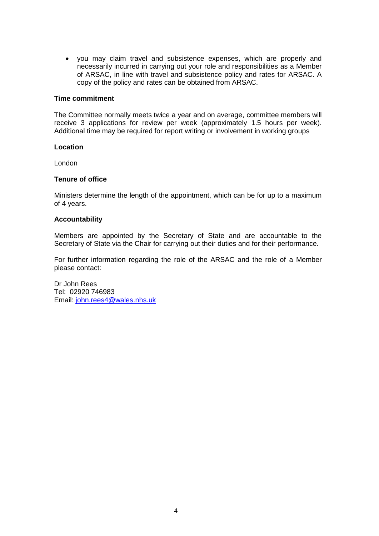you may claim travel and subsistence expenses, which are properly and necessarily incurred in carrying out your role and responsibilities as a Member of ARSAC, in line with travel and subsistence policy and rates for ARSAC. A copy of the policy and rates can be obtained from ARSAC.

### **Time commitment**

The Committee normally meets twice a year and on average, committee members will receive 3 applications for review per week (approximately 1.5 hours per week). Additional time may be required for report writing or involvement in working groups

### **Location**

London

### **Tenure of office**

Ministers determine the length of the appointment, which can be for up to a maximum of 4 years.

### **Accountability**

Members are appointed by the Secretary of State and are accountable to the Secretary of State via the Chair for carrying out their duties and for their performance.

For further information regarding the role of the ARSAC and the role of a Member please contact:

Dr John Rees Tel: 02920 746983 Email: [john.rees4@wales.nhs.uk](mailto:john.rees4@wales.nhs.uk)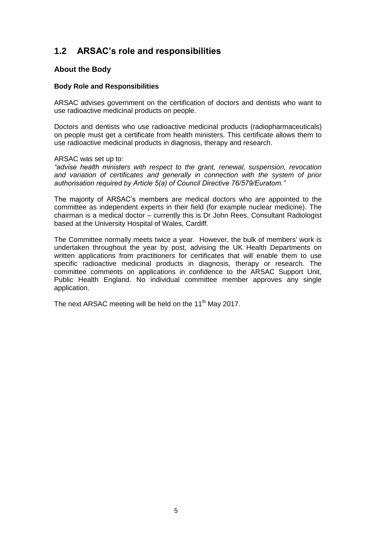# **1.2 ARSAC's role and responsibilities**

### **About the Body**

### **Body Role and Responsibilities**

ARSAC advises government on the certification of doctors and dentists who want to use radioactive medicinal products on people.

Doctors and dentists who use radioactive medicinal products (radiopharmaceuticals) on people must get a certificate from health ministers. This certificate allows them to use radioactive medicinal products in diagnosis, therapy and research.

ARSAC was set up to:

*"advise health ministers with respect to the grant, renewal, suspension, revocation and variation of certificates and generally in connection with the system of prior authorisation required by Article 5(a) of Council Directive 76/579/Euratom."*

The majority of ARSAC's members are medical doctors who are appointed to the committee as independent experts in their field (for example nuclear medicine). The chairman is a medical doctor – currently this is Dr John Rees, Consultant Radiologist based at the University Hospital of Wales, Cardiff.

The Committee normally meets twice a year. However, the bulk of members' work is undertaken throughout the year by post, advising the UK Health Departments on written applications from practitioners for certificates that will enable them to use specific radioactive medicinal products in diagnosis, therapy or research. The committee comments on applications in confidence to the ARSAC Support Unit, Public Health England. No individual committee member approves any single application.

The next ARSAC meeting will be held on the 11<sup>th</sup> May 2017.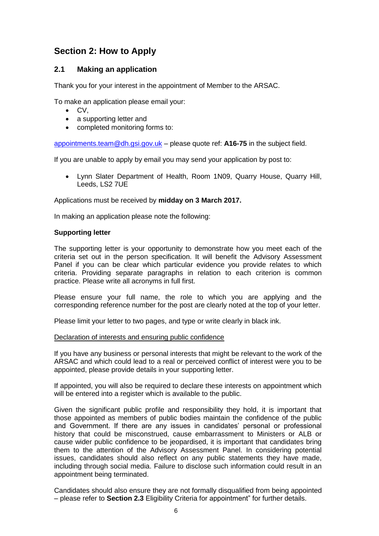# **Section 2: How to Apply**

## **2.1 Making an application**

Thank you for your interest in the appointment of Member to the ARSAC.

To make an application please email your:

- $\bullet$  CV.
- a supporting letter and
- completed monitoring forms to:

[appointments.team@dh.gsi.gov.uk](mailto:appointments.team@dh.gsi.gov.uk) – please quote ref: **A16-75** in the subject field.

If you are unable to apply by email you may send your application by post to:

 Lynn Slater Department of Health, Room 1N09, Quarry House, Quarry Hill, Leeds, LS2 7UE

Applications must be received by **midday on 3 March 2017.**

In making an application please note the following:

### **Supporting letter**

The supporting letter is your opportunity to demonstrate how you meet each of the criteria set out in the person specification. It will benefit the Advisory Assessment Panel if you can be clear which particular evidence you provide relates to which criteria. Providing separate paragraphs in relation to each criterion is common practice. Please write all acronyms in full first.

Please ensure your full name, the role to which you are applying and the corresponding reference number for the post are clearly noted at the top of your letter.

Please limit your letter to two pages, and type or write clearly in black ink.

### Declaration of interests and ensuring public confidence

If you have any business or personal interests that might be relevant to the work of the ARSAC and which could lead to a real or perceived conflict of interest were you to be appointed, please provide details in your supporting letter.

If appointed, you will also be required to declare these interests on appointment which will be entered into a register which is available to the public.

Given the significant public profile and responsibility they hold, it is important that those appointed as members of public bodies maintain the confidence of the public and Government. If there are any issues in candidates' personal or professional history that could be misconstrued, cause embarrassment to Ministers or ALB or cause wider public confidence to be jeopardised, it is important that candidates bring them to the attention of the Advisory Assessment Panel. In considering potential issues, candidates should also reflect on any public statements they have made, including through social media. Failure to disclose such information could result in an appointment being terminated.

Candidates should also ensure they are not formally disqualified from being appointed – please refer to **Section 2.3** Eligibility Criteria for appointment" for further details.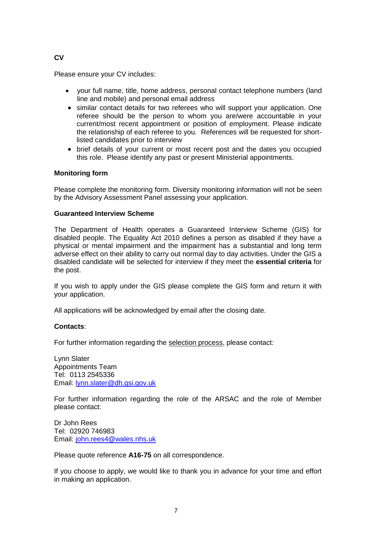### **CV**

Please ensure your CV includes:

- your full name, title, home address, personal contact telephone numbers (land line and mobile) and personal email address
- similar contact details for two referees who will support your application. One referee should be the person to whom you are/were accountable in your current/most recent appointment or position of employment. Please indicate the relationship of each referee to you. References will be requested for shortlisted candidates prior to interview
- brief details of your current or most recent post and the dates you occupied this role. Please identify any past or present Ministerial appointments.

### **Monitoring form**

Please complete the monitoring form. Diversity monitoring information will not be seen by the Advisory Assessment Panel assessing your application.

### **Guaranteed Interview Scheme**

The Department of Health operates a Guaranteed Interview Scheme (GIS) for disabled people. The Equality Act 2010 defines a person as disabled if they have a physical or mental impairment and the impairment has a substantial and long term adverse effect on their ability to carry out normal day to day activities. Under the GIS a disabled candidate will be selected for interview if they meet the **essential criteria** for the post.

If you wish to apply under the GIS please complete the GIS form and return it with your application.

All applications will be acknowledged by email after the closing date.

### **Contacts**:

For further information regarding the selection process, please contact:

Lynn Slater Appointments Team Tel: 0113 2545336 Email: [lynn.slater@dh.gsi.gov.uk](mailto:lynn.slater@dh.gsi.gov.uk)

For further information regarding the role of the ARSAC and the role of Member please contact:

Dr John Rees Tel: 02920 746983 Email: [john.rees4@wales.nhs.uk](mailto:john.rees4@wales.nhs.uk)

Please quote reference **A16-75** on all correspondence.

If you choose to apply, we would like to thank you in advance for your time and effort in making an application.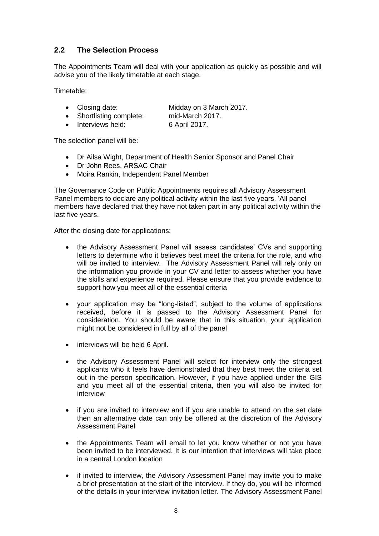# **2.2 The Selection Process**

The Appointments Team will deal with your application as quickly as possible and will advise you of the likely timetable at each stage.

Timetable:

- Closing date: Midday on 3 March 2017.
- Shortlisting complete: mid-March 2017.

• Interviews held: 6 April 2017.

The selection panel will be:

- Dr Ailsa Wight, Department of Health Senior Sponsor and Panel Chair
- Dr John Rees, ARSAC Chair
- Moira Rankin, Independent Panel Member

The Governance Code on Public Appointments requires all Advisory Assessment Panel members to declare any political activity within the last five years. 'All panel members have declared that they have not taken part in any political activity within the last five years.

After the closing date for applications:

- the Advisory Assessment Panel will assess candidates' CVs and supporting letters to determine who it believes best meet the criteria for the role, and who will be invited to interview. The Advisory Assessment Panel will rely only on the information you provide in your CV and letter to assess whether you have the skills and experience required. Please ensure that you provide evidence to support how you meet all of the essential criteria
- your application may be "long-listed", subject to the volume of applications received, before it is passed to the Advisory Assessment Panel for consideration. You should be aware that in this situation, your application might not be considered in full by all of the panel
- interviews will be held 6 April.
- the Advisory Assessment Panel will select for interview only the strongest applicants who it feels have demonstrated that they best meet the criteria set out in the person specification. However, if you have applied under the GIS and you meet all of the essential criteria, then you will also be invited for interview
- if you are invited to interview and if you are unable to attend on the set date then an alternative date can only be offered at the discretion of the Advisory Assessment Panel
- the Appointments Team will email to let you know whether or not you have been invited to be interviewed. It is our intention that interviews will take place in a central London location
- if invited to interview, the Advisory Assessment Panel may invite you to make a brief presentation at the start of the interview. If they do, you will be informed of the details in your interview invitation letter. The Advisory Assessment Panel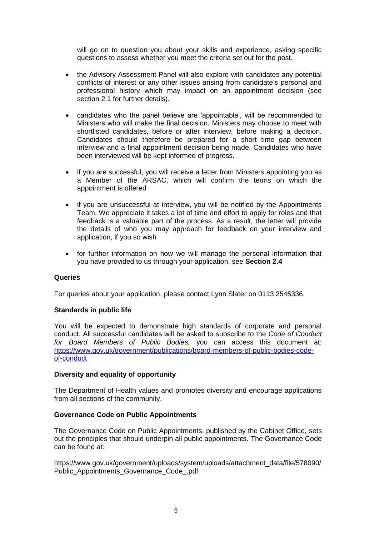will go on to question you about your skills and experience, asking specific questions to assess whether you meet the criteria set out for the post.

- the Advisory Assessment Panel will also explore with candidates any potential conflicts of interest or any other issues arising from candidate's personal and professional history which may impact on an appointment decision (see section 2.1 for further details).
- candidates who the panel believe are 'appointable', will be recommended to Ministers who will make the final decision. Ministers may choose to meet with shortlisted candidates, before or after interview, before making a decision. Candidates should therefore be prepared for a short time gap between interview and a final appointment decision being made. Candidates who have been interviewed will be kept informed of progress.
- if you are successful, you will receive a letter from Ministers appointing you as a Member of the ARSAC, which will confirm the terms on which the appointment is offered
- if you are unsuccessful at interview, you will be notified by the Appointments Team. We appreciate it takes a lot of time and effort to apply for roles and that feedback is a valuable part of the process. As a result, the letter will provide the details of who you may approach for feedback on your interview and application, if you so wish
- for further information on how we will manage the personal information that you have provided to us through your application, see **Section 2.4**

### **Queries**

For queries about your application, please contact Lynn Slater on 0113 2545336.

### **Standards in public life**

You will be expected to demonstrate high standards of corporate and personal conduct. All successful candidates will be asked to subscribe to the *Code of Conduct for Board Members of Public Bodies,* you can access this document at: [https://www.gov.uk/government/publications/board-members-of-public-bodies-code](https://www.gov.uk/government/publications/board-members-of-public-bodies-code-of-conduct)[of-conduct](https://www.gov.uk/government/publications/board-members-of-public-bodies-code-of-conduct)

### **Diversity and equality of opportunity**

The Department of Health values and promotes diversity and encourage applications from all sections of the community.

### **Governance Code on Public Appointments**

The Governance Code on Public Appointments, published by the Cabinet Office, sets out the principles that should underpin all public appointments. The Governance Code can be found at:

[https://www.gov.uk/government/uploads/system/uploads/attachment\\_data/file/578090/](https://www.gov.uk/government/uploads/system/uploads/attachment_data/file/578090/Public_Appointments_Governance_Code_.pdf) Public Appointments Governance Code .pdf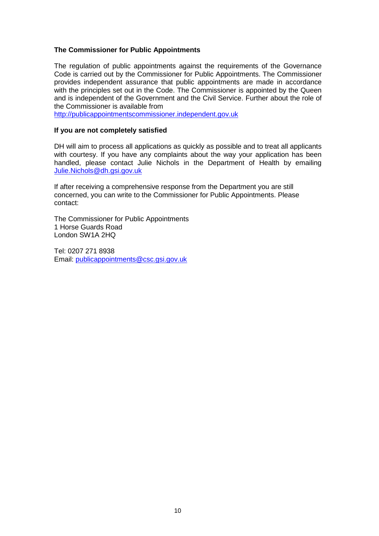### **The Commissioner for Public Appointments**

The regulation of public appointments against the requirements of the Governance Code is carried out by the Commissioner for Public Appointments. The Commissioner provides independent assurance that public appointments are made in accordance with the principles set out in the Code. The Commissioner is appointed by the Queen and is independent of the Government and the Civil Service. Further about the role of the Commissioner is available from

[http://publicappointmentscommissioner.independent.gov.uk](http://publicappointmentscommissioner.independent.gov.uk/) 

### **If you are not completely satisfied**

DH will aim to process all applications as quickly as possible and to treat all applicants with courtesy. If you have any complaints about the way your application has been handled, please contact Julie Nichols in the Department of Health by emailing [Julie.Nichols@dh.gsi.gov.uk](mailto:Julie.Nichols@dh.gsi.gov.uk)

If after receiving a comprehensive response from the Department you are still concerned, you can write to the Commissioner for Public Appointments. Please contact:

The Commissioner for Public Appointments 1 Horse Guards Road London SW1A 2HQ

Tel: 0207 271 8938 Email: [publicappointments@csc.gsi.gov.uk](mailto:publicappointments@csc.gsi.gov.uk)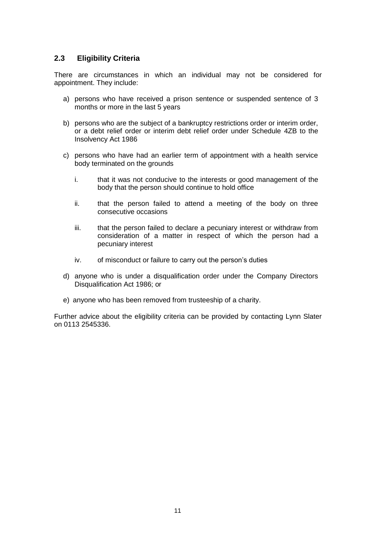### **2.3 Eligibility Criteria**

There are circumstances in which an individual may not be considered for appointment. They include:

- a) persons who have received a prison sentence or suspended sentence of 3 months or more in the last 5 years
- b) persons who are the subject of a bankruptcy restrictions order or interim order, or a debt relief order or interim debt relief order under Schedule 4ZB to the Insolvency Act 1986
- c) persons who have had an earlier term of appointment with a health service body terminated on the grounds
	- i. that it was not conducive to the interests or good management of the body that the person should continue to hold office
	- ii. that the person failed to attend a meeting of the body on three consecutive occasions
	- iii. that the person failed to declare a pecuniary interest or withdraw from consideration of a matter in respect of which the person had a pecuniary interest
	- iv. of misconduct or failure to carry out the person's duties
- d) anyone who is under a disqualification order under the Company Directors Disqualification Act 1986; or
- e) anyone who has been removed from trusteeship of a charity.

Further advice about the eligibility criteria can be provided by contacting Lynn Slater on 0113 2545336.